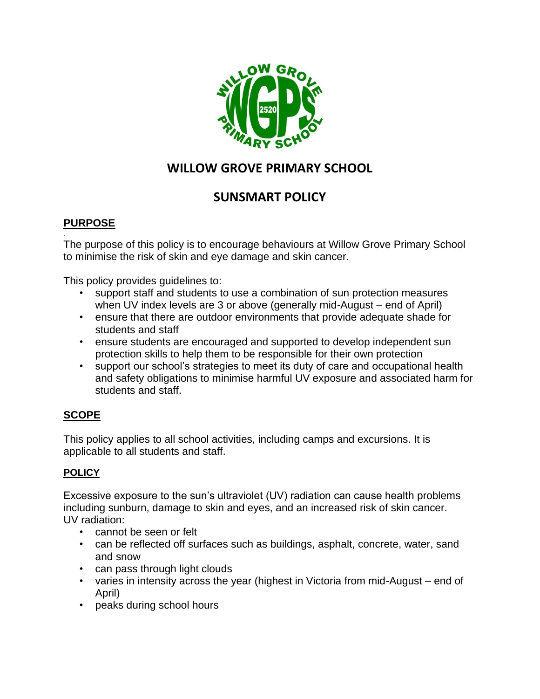

# **WILLOW GROVE PRIMARY SCHOOL**

# **SUNSMART POLICY**

# **PURPOSE**

*.* 

The purpose of this policy is to encourage behaviours at Willow Grove Primary School to minimise the risk of skin and eye damage and skin cancer.

This policy provides guidelines to:

- support staff and students to use a combination of sun protection measures when UV index levels are 3 or above (generally mid-August – end of April)
- ensure that there are outdoor environments that provide adequate shade for students and staff
- ensure students are encouraged and supported to develop independent sun protection skills to help them to be responsible for their own protection
- support our school's strategies to meet its duty of care and occupational health and safety obligations to minimise harmful UV exposure and associated harm for students and staff.

# **SCOPE**

This policy applies to all school activities, including camps and excursions. It is applicable to all students and staff.

#### **POLICY**

Excessive exposure to the sun's ultraviolet (UV) radiation can cause health problems including sunburn, damage to skin and eyes, and an increased risk of skin cancer. UV radiation:

- cannot be seen or felt
- can be reflected off surfaces such as buildings, asphalt, concrete, water, sand and snow
- can pass through light clouds
- varies in intensity across the year (highest in Victoria from mid-August end of April)
- peaks during school hours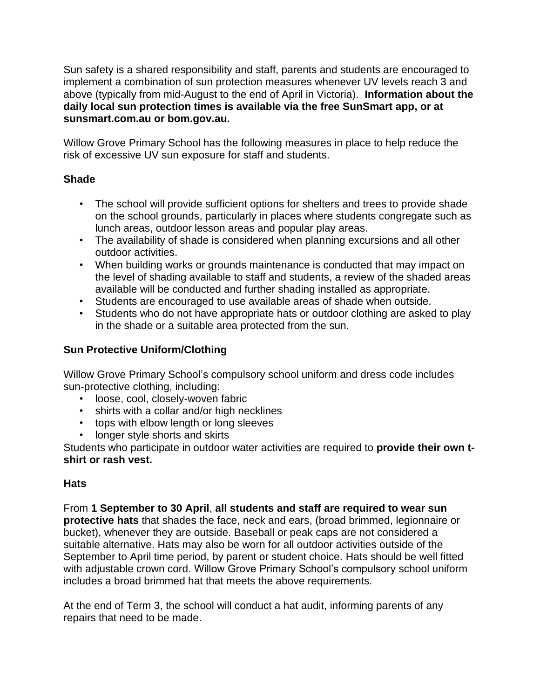Sun safety is a shared responsibility and staff, parents and students are encouraged to implement a combination of sun protection measures whenever UV levels reach 3 and above (typically from mid-August to the end of April in Victoria). **Information about the daily local sun protection times is available via the free SunSmart app, or at sunsmart.com.au or bom.gov.au.** 

Willow Grove Primary School has the following measures in place to help reduce the risk of excessive UV sun exposure for staff and students.

### **Shade**

- The school will provide sufficient options for shelters and trees to provide shade on the school grounds, particularly in places where students congregate such as lunch areas, outdoor lesson areas and popular play areas.
- The availability of shade is considered when planning excursions and all other outdoor activities.
- When building works or grounds maintenance is conducted that may impact on the level of shading available to staff and students, a review of the shaded areas available will be conducted and further shading installed as appropriate.
- Students are encouraged to use available areas of shade when outside.
- Students who do not have appropriate hats or outdoor clothing are asked to play in the shade or a suitable area protected from the sun.

# **Sun Protective Uniform/Clothing**

Willow Grove Primary School's compulsory school uniform and dress code includes sun-protective clothing, including:

- loose, cool, closely-woven fabric
- shirts with a collar and/or high necklines
- tops with elbow length or long sleeves
- longer style shorts and skirts

Students who participate in outdoor water activities are required to **provide their own tshirt or rash vest.**

#### **Hats**

From **1 September to 30 April**, **all students and staff are required to wear sun protective hats** that shades the face, neck and ears, (broad brimmed, legionnaire or bucket), whenever they are outside. Baseball or peak caps are not considered a suitable alternative. Hats may also be worn for all outdoor activities outside of the September to April time period, by parent or student choice. Hats should be well fitted with adjustable crown cord. Willow Grove Primary School's compulsory school uniform includes a broad brimmed hat that meets the above requirements.

At the end of Term 3, the school will conduct a hat audit, informing parents of any repairs that need to be made.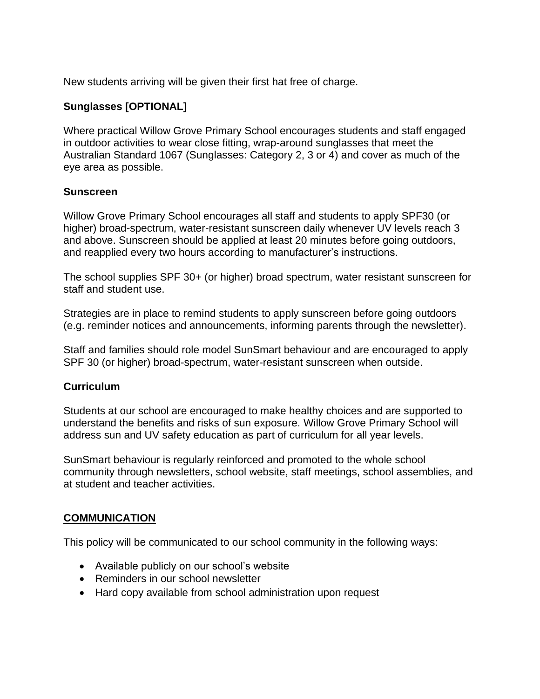New students arriving will be given their first hat free of charge.

#### **Sunglasses [OPTIONAL]**

Where practical Willow Grove Primary School encourages students and staff engaged in outdoor activities to wear close fitting, wrap-around sunglasses that meet the Australian Standard 1067 (Sunglasses: Category 2, 3 or 4) and cover as much of the eye area as possible.

#### **Sunscreen**

Willow Grove Primary School encourages all staff and students to apply SPF30 (or higher) broad-spectrum, water-resistant sunscreen daily whenever UV levels reach 3 and above. Sunscreen should be applied at least 20 minutes before going outdoors, and reapplied every two hours according to manufacturer's instructions.

The school supplies SPF 30+ (or higher) broad spectrum, water resistant sunscreen for staff and student use.

Strategies are in place to remind students to apply sunscreen before going outdoors (e.g. reminder notices and announcements, informing parents through the newsletter).

Staff and families should role model SunSmart behaviour and are encouraged to apply SPF 30 (or higher) broad-spectrum, water-resistant sunscreen when outside.

#### **Curriculum**

Students at our school are encouraged to make healthy choices and are supported to understand the benefits and risks of sun exposure. Willow Grove Primary School will address sun and UV safety education as part of curriculum for all year levels.

SunSmart behaviour is regularly reinforced and promoted to the whole school community through newsletters, school website, staff meetings, school assemblies, and at student and teacher activities.

#### **COMMUNICATION**

This policy will be communicated to our school community in the following ways:

- Available publicly on our school's website
- Reminders in our school newsletter
- Hard copy available from school administration upon request